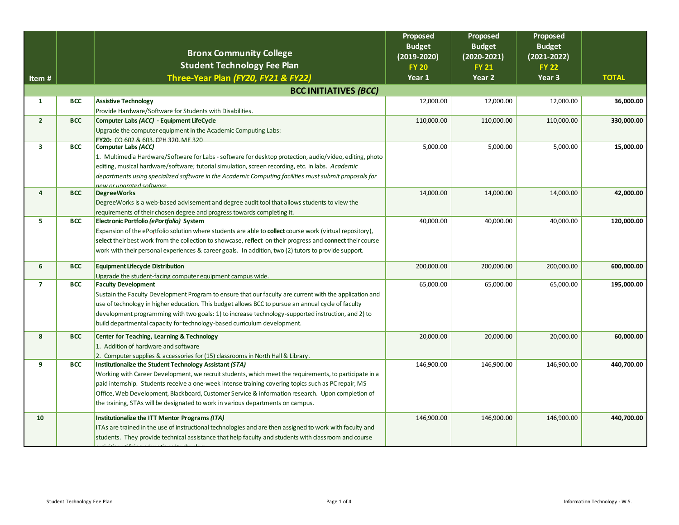|                |            |                                                                                                            | Proposed<br><b>Budget</b> | Proposed<br><b>Budget</b> | Proposed<br><b>Budget</b> |              |
|----------------|------------|------------------------------------------------------------------------------------------------------------|---------------------------|---------------------------|---------------------------|--------------|
|                |            | <b>Bronx Community College</b>                                                                             | $(2019 - 2020)$           | $(2020 - 2021)$           | $(2021 - 2022)$           |              |
|                |            | <b>Student Technology Fee Plan</b>                                                                         | <b>FY 20</b>              | <b>FY 21</b>              | <b>FY 22</b>              |              |
| Item #         |            | Three-Year Plan (FY20, FY21 & FY22)                                                                        | Year 1                    | Year <sub>2</sub>         | Year <sub>3</sub>         | <b>TOTAL</b> |
|                |            | <b>BCC INITIATIVES (BCC)</b>                                                                               |                           |                           |                           |              |
| $\mathbf{1}$   | <b>BCC</b> | <b>Assistive Technology</b>                                                                                | 12,000.00                 | 12,000.00                 | 12,000.00                 | 36,000.00    |
|                |            | Provide Hardware/Software for Students with Disabilities.                                                  |                           |                           |                           |              |
| $\overline{2}$ | <b>BCC</b> | Computer Labs (ACC) - Equipment LifeCycle                                                                  | 110,000.00                | 110,000.00                | 110,000.00                | 330,000.00   |
|                |            | Upgrade the computer equipment in the Academic Computing Labs:                                             |                           |                           |                           |              |
|                |            | <b>EY20</b> CO 602 & 603 CPH 320 ME 320                                                                    |                           |                           |                           |              |
| 3              | <b>BCC</b> | <b>Computer Labs (ACC)</b>                                                                                 | 5,000.00                  | 5,000.00                  | 5,000.00                  | 15,000.00    |
|                |            | 1. Multimedia Hardware/Software for Labs - software for desktop protection, audio/video, editing, photo    |                           |                           |                           |              |
|                |            | editing, musical hardware/software; tutorial simulation, screen recording, etc. in labs. Academic          |                           |                           |                           |              |
|                |            | departments using specialized software in the Academic Computing facilities must submit proposals for      |                           |                           |                           |              |
|                |            | new or unarated software.                                                                                  |                           |                           |                           |              |
| 4              | <b>BCC</b> | <b>DegreeWorks</b>                                                                                         | 14,000.00                 | 14,000.00                 | 14,000.00                 | 42,000.00    |
|                |            | Degree Works is a web-based advisement and degree audit tool that allows students to view the              |                           |                           |                           |              |
|                |            | requirements of their chosen degree and progress towards completing it.                                    |                           |                           |                           |              |
| 5              | <b>BCC</b> | Electronic Portfolio (ePortfolio) System                                                                   | 40,000.00                 | 40,000.00                 | 40,000.00                 | 120,000.00   |
|                |            | Expansion of the ePortfolio solution where students are able to collect course work (virtual repository),  |                           |                           |                           |              |
|                |            | select their best work from the collection to showcase, reflect on their progress and connect their course |                           |                           |                           |              |
|                |            | work with their personal experiences & career goals. In addition, two (2) tutors to provide support.       |                           |                           |                           |              |
| 6              | <b>BCC</b> | <b>Equipment Lifecycle Distribution</b>                                                                    | 200,000.00                | 200,000.00                | 200,000.00                | 600,000.00   |
|                |            | Upgrade the student-facing computer equipment campus wide.                                                 |                           |                           |                           |              |
| $\overline{7}$ | <b>BCC</b> | <b>Faculty Development</b>                                                                                 | 65,000.00                 | 65,000.00                 | 65,000.00                 | 195,000.00   |
|                |            | Sustain the Faculty Development Program to ensure that our faculty are current with the application and    |                           |                           |                           |              |
|                |            | use of technology in higher education. This budget allows BCC to pursue an annual cycle of faculty         |                           |                           |                           |              |
|                |            | development programming with two goals: 1) to increase technology-supported instruction, and 2) to         |                           |                           |                           |              |
|                |            | build departmental capacity for technology-based curriculum development.                                   |                           |                           |                           |              |
| 8              | <b>BCC</b> | Center for Teaching, Learning & Technology                                                                 | 20,000.00                 | 20,000.00                 | 20,000.00                 | 60,000.00    |
|                |            | 1. Addition of hardware and software                                                                       |                           |                           |                           |              |
|                |            | 2. Computer supplies & accessories for (15) classrooms in North Hall & Library.                            |                           |                           |                           |              |
| 9              | <b>BCC</b> | Institutionalize the Student Technology Assistant (STA)                                                    | 146,900.00                | 146,900.00                | 146,900.00                | 440,700.00   |
|                |            | Working with Career Development, we recruit students, which meet the requirements, to participate in a     |                           |                           |                           |              |
|                |            | paid internship. Students receive a one-week intense training covering topics such as PC repair, MS        |                           |                           |                           |              |
|                |            | Office, Web Development, Blackboard, Customer Service & information research. Upon completion of           |                           |                           |                           |              |
|                |            | the training, STAs will be designated to work in various departments on campus.                            |                           |                           |                           |              |
| 10             |            | Institutionalize the ITT Mentor Programs (ITA)                                                             | 146,900.00                | 146,900.00                | 146,900.00                | 440,700.00   |
|                |            | ITAs are trained in the use of instructional technologies and are then assigned to work with faculty and   |                           |                           |                           |              |
|                |            | students. They provide technical assistance that help faculty and students with classroom and course       |                           |                           |                           |              |
|                |            |                                                                                                            |                           |                           |                           |              |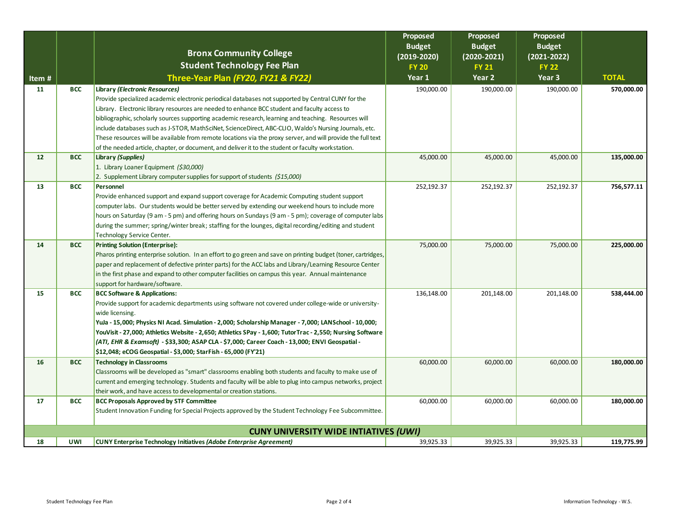|                                              |            |                                                                                                                                             | Proposed                        | Proposed               | Proposed                        |              |
|----------------------------------------------|------------|---------------------------------------------------------------------------------------------------------------------------------------------|---------------------------------|------------------------|---------------------------------|--------------|
|                                              |            | <b>Bronx Community College</b>                                                                                                              | <b>Budget</b>                   | <b>Budget</b>          | <b>Budget</b>                   |              |
|                                              |            | <b>Student Technology Fee Plan</b>                                                                                                          | $(2019 - 2020)$<br><b>FY 20</b> | $(2020 - 2021)$        | $(2021 - 2022)$<br><b>FY 22</b> |              |
|                                              |            | Three-Year Plan (FY20, FY21 & FY22)                                                                                                         | Year 1                          | <b>FY 21</b><br>Year 2 | Year 3                          | <b>TOTAL</b> |
| Item#<br>11                                  | <b>BCC</b> |                                                                                                                                             | 190,000.00                      | 190,000.00             |                                 | 570,000.00   |
|                                              |            | <b>Library (Electronic Resources)</b><br>Provide specialized academic electronic periodical databases not supported by Central CUNY for the |                                 |                        | 190,000.00                      |              |
|                                              |            | Library. Electronic library resources are needed to enhance BCC student and faculty access to                                               |                                 |                        |                                 |              |
|                                              |            | bibliographic, scholarly sources supporting academic research, learning and teaching. Resources will                                        |                                 |                        |                                 |              |
|                                              |            | include databases such as J-STOR, MathSciNet, ScienceDirect, ABC-CLIO, Waldo's Nursing Journals, etc.                                       |                                 |                        |                                 |              |
|                                              |            | These resources will be available from remote locations via the proxy server, and will provide the full text                                |                                 |                        |                                 |              |
|                                              |            | of the needed article, chapter, or document, and deliver it to the student or faculty workstation.                                          |                                 |                        |                                 |              |
| 12                                           | <b>BCC</b> | Library (Supplies)                                                                                                                          | 45,000.00                       | 45,000.00              | 45,000.00                       | 135,000.00   |
|                                              |            | 1. Library Loaner Equipment (\$30,000)                                                                                                      |                                 |                        |                                 |              |
|                                              |            | 2. Supplement Library computer supplies for support of students (\$15,000)                                                                  |                                 |                        |                                 |              |
| 13                                           | <b>BCC</b> | Personnel                                                                                                                                   | 252,192.37                      | 252,192.37             | 252,192.37                      | 756,577.11   |
|                                              |            | Provide enhanced support and expand support coverage for Academic Computing student support                                                 |                                 |                        |                                 |              |
|                                              |            | computer labs. Our students would be better served by extending our weekend hours to include more                                           |                                 |                        |                                 |              |
|                                              |            | hours on Saturday (9 am - 5 pm) and offering hours on Sundays (9 am - 5 pm); coverage of computer labs                                      |                                 |                        |                                 |              |
|                                              |            | during the summer; spring/winter break; staffing for the lounges, digital recording/editing and student                                     |                                 |                        |                                 |              |
|                                              |            | Technology Service Center.                                                                                                                  |                                 |                        |                                 |              |
| 14                                           | <b>BCC</b> | <b>Printing Solution (Enterprise):</b>                                                                                                      | 75,000.00                       | 75,000.00              | 75,000.00                       | 225,000.00   |
|                                              |            | Pharos printing enterprise solution. In an effort to go green and save on printing budget (toner, cartridges,                               |                                 |                        |                                 |              |
|                                              |            | paper and replacement of defective printer parts) for the ACC labs and Library/Learning Resource Center                                     |                                 |                        |                                 |              |
|                                              |            | in the first phase and expand to other computer facilities on campus this year. Annual maintenance                                          |                                 |                        |                                 |              |
|                                              |            | support for hardware/software.                                                                                                              |                                 |                        |                                 |              |
| 15                                           | <b>BCC</b> | <b>BCC Software &amp; Applications:</b>                                                                                                     | 136,148.00                      | 201,148.00             | 201,148.00                      | 538,444.00   |
|                                              |            | Provide support for academic departments using software not covered under college-wide or university-                                       |                                 |                        |                                 |              |
|                                              |            | wide licensing.                                                                                                                             |                                 |                        |                                 |              |
|                                              |            | YuJa - 15,000; Physics NI Acad. Simulation - 2,000; Scholarship Manager - 7,000; LANSchool - 10,000;                                        |                                 |                        |                                 |              |
|                                              |            | YouVisit - 27,000; Athletics Website - 2,650; Athletics SPay - 1,600; TutorTrac - 2,550; Nursing Software                                   |                                 |                        |                                 |              |
|                                              |            | (ATI, EHR & Examsoft) - \$33,300; ASAP CLA - \$7,000; Career Coach - 13,000; ENVI Geospatial -                                              |                                 |                        |                                 |              |
|                                              |            | \$12,048; eCOG Geospatial - \$3,000; StarFish - 65,000 (FY'21)                                                                              |                                 |                        |                                 |              |
| 16                                           | <b>BCC</b> | <b>Technology in Classrooms</b>                                                                                                             | 60,000.00                       | 60,000.00              | 60,000.00                       | 180,000.00   |
|                                              |            | Classrooms will be developed as "smart" classrooms enabling both students and faculty to make use of                                        |                                 |                        |                                 |              |
|                                              |            | current and emerging technology. Students and faculty will be able to plug into campus networks, project                                    |                                 |                        |                                 |              |
| 17                                           | <b>BCC</b> | their work, and have access to developmental or creation stations.<br><b>BCC Proposals Approved by STF Committee</b>                        | 60,000.00                       | 60,000.00              | 60,000.00                       | 180,000.00   |
|                                              |            | Student Innovation Funding for Special Projects approved by the Student Technology Fee Subcommittee.                                        |                                 |                        |                                 |              |
|                                              |            |                                                                                                                                             |                                 |                        |                                 |              |
| <b>CUNY UNIVERSITY WIDE INTIATIVES (UWI)</b> |            |                                                                                                                                             |                                 |                        |                                 |              |
| 18                                           | <b>UWI</b> | <b>CUNY Enterprise Technology Initiatives (Adobe Enterprise Agreement)</b>                                                                  | 39,925.33                       | 39,925.33              | 39,925.33                       | 119,775.99   |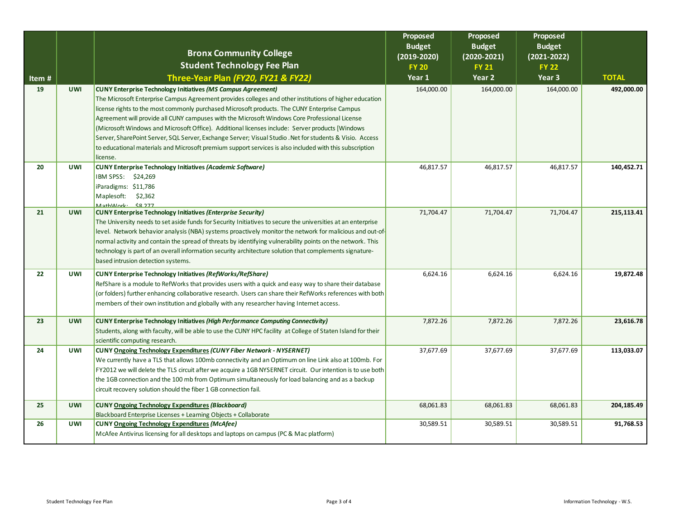|       |            |                                                                                                                                                                                                   | Proposed                       | Proposed                       | Proposed                         |              |
|-------|------------|---------------------------------------------------------------------------------------------------------------------------------------------------------------------------------------------------|--------------------------------|--------------------------------|----------------------------------|--------------|
|       |            | <b>Bronx Community College</b>                                                                                                                                                                    | <b>Budget</b><br>$(2019-2020)$ | <b>Budget</b><br>$(2020-2021)$ | <b>Budget</b><br>$(2021 - 2022)$ |              |
|       |            | <b>Student Technology Fee Plan</b>                                                                                                                                                                | <b>FY 20</b>                   | <b>FY 21</b>                   | <b>FY 22</b>                     |              |
| Item# |            | Three-Year Plan (FY20, FY21 & FY22)                                                                                                                                                               | Year 1                         | Year 2                         | Year 3                           | <b>TOTAL</b> |
| 19    | <b>UWI</b> | <b>CUNY Enterprise Technology Initiatives (MS Campus Agreement)</b>                                                                                                                               | 164,000.00                     | 164,000.00                     | 164,000.00                       | 492,000.00   |
|       |            | The Microsoft Enterprise Campus Agreement provides colleges and other institutions of higher education                                                                                            |                                |                                |                                  |              |
|       |            | license rights to the most commonly purchased Microsoft products. The CUNY Enterprise Campus                                                                                                      |                                |                                |                                  |              |
|       |            | Agreement will provide all CUNY campuses with the Microsoft Windows Core Professional License                                                                                                     |                                |                                |                                  |              |
|       |            | (Microsoft Windows and Microsoft Office). Additional licenses include: Server products [Windows                                                                                                   |                                |                                |                                  |              |
|       |            | Server, SharePoint Server, SQL Server, Exchange Server; Visual Studio . Net for students & Visio. Access                                                                                          |                                |                                |                                  |              |
|       |            | to educational materials and Microsoft premium support services is also included with this subscription                                                                                           |                                |                                |                                  |              |
|       |            | license.                                                                                                                                                                                          |                                |                                |                                  |              |
| 20    | <b>UWI</b> | <b>CUNY Enterprise Technology Initiatives (Academic Software)</b>                                                                                                                                 | 46,817.57                      | 46,817.57                      | 46,817.57                        | 140,452.71   |
|       |            | IBM SPSS: \$24,269                                                                                                                                                                                |                                |                                |                                  |              |
|       |            | iParadigms: \$11,786                                                                                                                                                                              |                                |                                |                                  |              |
|       |            | Maplesoft:<br>\$2,362<br>MathWork < < \,                                                                                                                                                          |                                |                                |                                  |              |
| 21    | <b>UWI</b> | <b>CUNY Enterprise Technology Initiatives (Enterprise Security)</b>                                                                                                                               | 71,704.47                      | 71,704.47                      | 71,704.47                        | 215, 113.41  |
|       |            | The University needs to set aside funds for Security Initiatives to secure the universities at an enterprise                                                                                      |                                |                                |                                  |              |
|       |            | level. Network behavior analysis (NBA) systems proactively monitor the network for malicious and out-of-                                                                                          |                                |                                |                                  |              |
|       |            | normal activity and contain the spread of threats by identifying vulnerability points on the network. This                                                                                        |                                |                                |                                  |              |
|       |            | technology is part of an overall information security architecture solution that complements signature-                                                                                           |                                |                                |                                  |              |
|       |            | based intrusion detection systems.                                                                                                                                                                |                                |                                |                                  |              |
| 22    | <b>UWI</b> | <b>CUNY Enterprise Technology Initiatives (RefWorks/RefShare)</b>                                                                                                                                 | 6,624.16                       | 6,624.16                       | 6,624.16                         | 19,872.48    |
|       |            | RefShare is a module to RefWorks that provides users with a quick and easy way to share their database                                                                                            |                                |                                |                                  |              |
|       |            | (or folders) further enhancing collaborative research. Users can share their RefWorks references with both                                                                                        |                                |                                |                                  |              |
|       |            | members of their own institution and globally with any researcher having Internet access.                                                                                                         |                                |                                |                                  |              |
|       | <b>UWI</b> |                                                                                                                                                                                                   |                                |                                |                                  |              |
| 23    |            | CUNY Enterprise Technology Initiatives (High Performance Computing Connectivity)<br>Students, along with faculty, will be able to use the CUNY HPC facility at College of Staten Island for their | 7,872.26                       | 7,872.26                       | 7,872.26                         | 23,616.78    |
|       |            | scientific computing research.                                                                                                                                                                    |                                |                                |                                  |              |
| 24    | <b>UWI</b> | CUNY Ongoing Technology Expenditures (CUNY Fiber Network - NYSERNET)                                                                                                                              | 37,677.69                      | 37,677.69                      | 37,677.69                        | 113,033.07   |
|       |            | We currently have a TLS that allows 100mb connectivity and an Optimum on line Link also at 100mb. For                                                                                             |                                |                                |                                  |              |
|       |            | FY2012 we will delete the TLS circuit after we acquire a 1GB NYSERNET circuit. Our intention is to use both                                                                                       |                                |                                |                                  |              |
|       |            | the 1GB connection and the 100 mb from Optimum simultaneously for load balancing and as a backup                                                                                                  |                                |                                |                                  |              |
|       |            | circuit recovery solution should the fiber 1 GB connection fail.                                                                                                                                  |                                |                                |                                  |              |
| 25    | <b>UWI</b> | <b>CUNY Ongoing Technology Expenditures (Blackboard)</b>                                                                                                                                          | 68,061.83                      | 68,061.83                      | 68,061.83                        | 204,185.49   |
|       |            | Blackboard Enterprise Licenses + Learning Objects + Collaborate                                                                                                                                   |                                |                                |                                  |              |
| 26    | <b>UWI</b> | <b>CUNY Ongoing Technology Expenditures (McAfee)</b>                                                                                                                                              | 30,589.51                      | 30,589.51                      | 30,589.51                        | 91,768.53    |
|       |            | McAfee Antivirus licensing for all desktops and laptops on campus (PC & Mac platform)                                                                                                             |                                |                                |                                  |              |